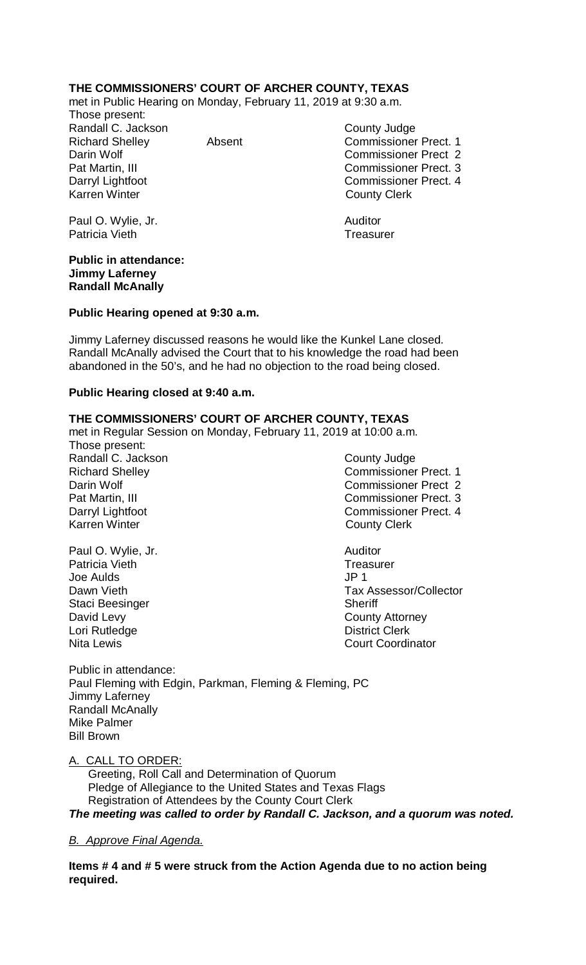# **THE COMMISSIONERS' COURT OF ARCHER COUNTY, TEXAS**

met in Public Hearing on Monday, February 11, 2019 at 9:30 a.m. Those present:

Randall C. Jackson County Judge Karren Winter **County Clerk** 

Richard Shelley Absent Commissioner Prect. 1 Darin Wolf Commissioner Prect 2 Pat Martin, III Commissioner Prect. 3 Darryl Lightfoot Commissioner Prect. 4

Paul O. Wylie, Jr. **Auditor Paul O. Wylie, Jr. Auditor** Patricia Vieth Treasurer

#### **Public in attendance: Jimmy Laferney Randall McAnally**

#### **Public Hearing opened at 9:30 a.m.**

Jimmy Laferney discussed reasons he would like the Kunkel Lane closed. Randall McAnally advised the Court that to his knowledge the road had been abandoned in the 50's, and he had no objection to the road being closed.

### **Public Hearing closed at 9:40 a.m.**

## **THE COMMISSIONERS' COURT OF ARCHER COUNTY, TEXAS**

met in Regular Session on Monday, February 11, 2019 at 10:00 a.m.

- Those present: Randall C. Jackson County Judge Karren Winter **County Clerk**
- Paul O. Wylie, Jr. **Auditor** Patricia Vieth Treasurer<br>
Joe Aulds<br>
Joe Aulds Joe Aulds Staci Beesinger Sheriff David Levy **County Attorney** Lori Rutledge **District Clerk**

Richard Shelley **Commissioner Prect. 1** Darin Wolf **Commissioner Prect 2** Pat Martin, III Commissioner Prect. 3 Darryl Lightfoot **Commissioner Prect. 4** 

Dawn Vieth **Tax Assessor/Collector** Nita Lewis Court Coordinator

Public in attendance: Paul Fleming with Edgin, Parkman, Fleming & Fleming, PC Jimmy Laferney Randall McAnally Mike Palmer Bill Brown

## A. CALL TO ORDER:

 Greeting, Roll Call and Determination of Quorum Pledge of Allegiance to the United States and Texas Flags Registration of Attendees by the County Court Clerk *The meeting was called to order by Randall C. Jackson, and a quorum was noted.*

## *B. Approve Final Agenda.*

**Items # 4 and # 5 were struck from the Action Agenda due to no action being required.**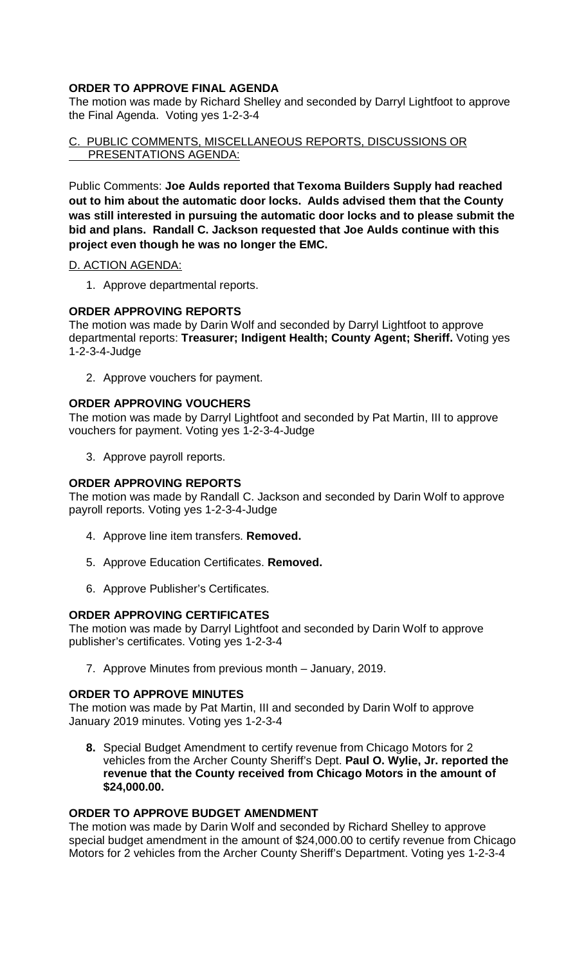# **ORDER TO APPROVE FINAL AGENDA**

The motion was made by Richard Shelley and seconded by Darryl Lightfoot to approve the Final Agenda. Voting yes 1-2-3-4

C. PUBLIC COMMENTS, MISCELLANEOUS REPORTS, DISCUSSIONS OR PRESENTATIONS AGENDA:

Public Comments: **Joe Aulds reported that Texoma Builders Supply had reached out to him about the automatic door locks. Aulds advised them that the County was still interested in pursuing the automatic door locks and to please submit the bid and plans. Randall C. Jackson requested that Joe Aulds continue with this project even though he was no longer the EMC.**

### D. ACTION AGENDA:

1. Approve departmental reports.

## **ORDER APPROVING REPORTS**

The motion was made by Darin Wolf and seconded by Darryl Lightfoot to approve departmental reports: **Treasurer; Indigent Health; County Agent; Sheriff.** Voting yes 1-2-3-4-Judge

2. Approve vouchers for payment.

### **ORDER APPROVING VOUCHERS**

The motion was made by Darryl Lightfoot and seconded by Pat Martin, III to approve vouchers for payment. Voting yes 1-2-3-4-Judge

3. Approve payroll reports.

### **ORDER APPROVING REPORTS**

The motion was made by Randall C. Jackson and seconded by Darin Wolf to approve payroll reports. Voting yes 1-2-3-4-Judge

- 4. Approve line item transfers. **Removed.**
- 5. Approve Education Certificates. **Removed.**
- 6. Approve Publisher's Certificates.

#### **ORDER APPROVING CERTIFICATES**

The motion was made by Darryl Lightfoot and seconded by Darin Wolf to approve publisher's certificates. Voting yes 1-2-3-4

7. Approve Minutes from previous month – January, 2019.

## **ORDER TO APPROVE MINUTES**

The motion was made by Pat Martin, III and seconded by Darin Wolf to approve January 2019 minutes. Voting yes 1-2-3-4

**8.** Special Budget Amendment to certify revenue from Chicago Motors for 2 vehicles from the Archer County Sheriff's Dept. **Paul O. Wylie, Jr. reported the revenue that the County received from Chicago Motors in the amount of \$24,000.00.**

#### **ORDER TO APPROVE BUDGET AMENDMENT**

The motion was made by Darin Wolf and seconded by Richard Shelley to approve special budget amendment in the amount of \$24,000.00 to certify revenue from Chicago Motors for 2 vehicles from the Archer County Sheriff's Department. Voting yes 1-2-3-4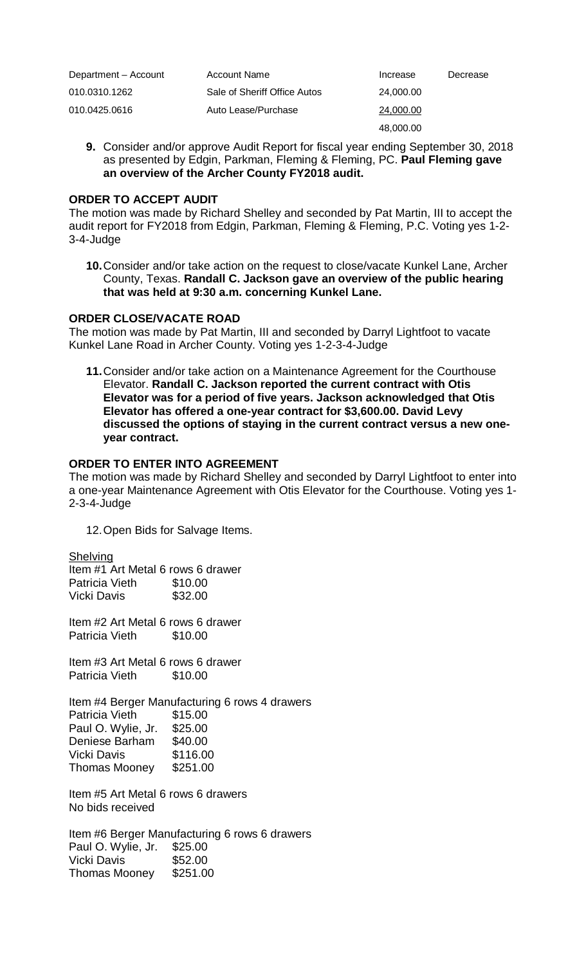| Department - Account | Account Name                 | Increase  | Decrease |
|----------------------|------------------------------|-----------|----------|
| 010.0310.1262        | Sale of Sheriff Office Autos | 24.000.00 |          |
| 010.0425.0616        | Auto Lease/Purchase          | 24.000.00 |          |
|                      |                              | 48,000.00 |          |

**9.** Consider and/or approve Audit Report for fiscal year ending September 30, 2018 as presented by Edgin, Parkman, Fleming & Fleming, PC. **Paul Fleming gave an overview of the Archer County FY2018 audit.**

#### **ORDER TO ACCEPT AUDIT**

The motion was made by Richard Shelley and seconded by Pat Martin, III to accept the audit report for FY2018 from Edgin, Parkman, Fleming & Fleming, P.C. Voting yes 1-2- 3-4-Judge

**10.**Consider and/or take action on the request to close/vacate Kunkel Lane, Archer County, Texas. **Randall C. Jackson gave an overview of the public hearing that was held at 9:30 a.m. concerning Kunkel Lane.**

#### **ORDER CLOSE/VACATE ROAD**

The motion was made by Pat Martin, III and seconded by Darryl Lightfoot to vacate Kunkel Lane Road in Archer County. Voting yes 1-2-3-4-Judge

**11.**Consider and/or take action on a Maintenance Agreement for the Courthouse Elevator. **Randall C. Jackson reported the current contract with Otis Elevator was for a period of five years. Jackson acknowledged that Otis Elevator has offered a one-year contract for \$3,600.00. David Levy discussed the options of staying in the current contract versus a new oneyear contract.**

## **ORDER TO ENTER INTO AGREEMENT**

The motion was made by Richard Shelley and seconded by Darryl Lightfoot to enter into a one-year Maintenance Agreement with Otis Elevator for the Courthouse. Voting yes 1- 2-3-4-Judge

12.Open Bids for Salvage Items.

#### **Shelving**

Item #1 Art Metal 6 rows 6 drawer Patricia Vieth \$10.00 Vicki Davis \$32.00

Item #2 Art Metal 6 rows 6 drawer Patricia Vieth \$10.00

Item #3 Art Metal 6 rows 6 drawer Patricia Vieth \$10.00

Item #4 Berger Manufacturing 6 rows 4 drawers Patricia Vieth \$15.00 Paul O. Wylie, Jr. \$25.00 Deniese Barham \$40.00 Vicki Davis \$116.00 Thomas Mooney \$251.00

Item #5 Art Metal 6 rows 6 drawers No bids received

Item #6 Berger Manufacturing 6 rows 6 drawers Paul O. Wylie, Jr. \$25.00 Vicki Davis Thomas Mooney \$251.00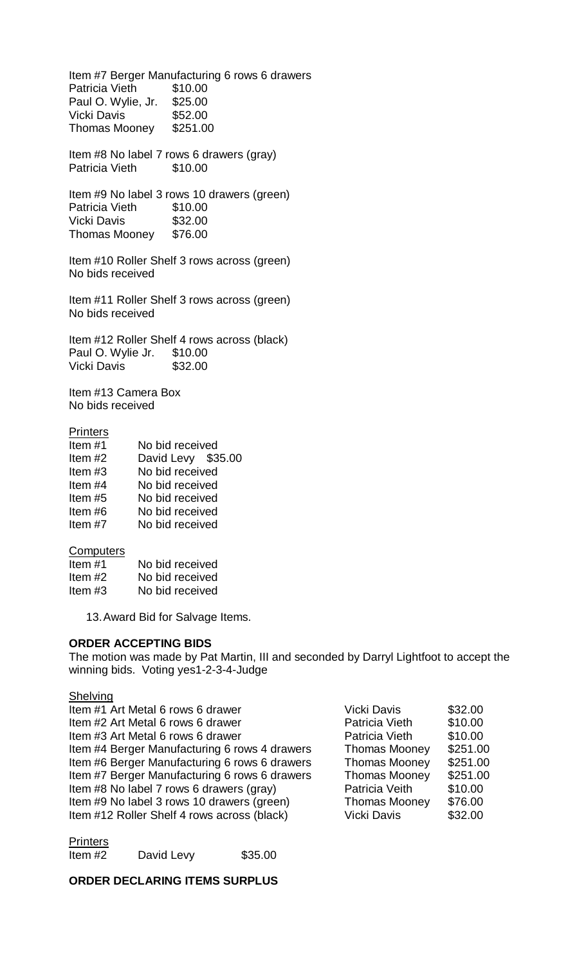Item #7 Berger Manufacturing 6 rows 6 drawers Patricia Vieth \$10.00 Paul O. Wylie, Jr. \$25.00 Vicki Davis \$52.00 Thomas Mooney \$251.00

Item #8 No label 7 rows 6 drawers (gray) Patricia Vieth \$10.00

Item #9 No label 3 rows 10 drawers (green) Patricia Vieth \$10.00 Vicki Davis \$32.00 Thomas Mooney \$76.00

Item #10 Roller Shelf 3 rows across (green) No bids received

Item #11 Roller Shelf 3 rows across (green) No bids received

Item #12 Roller Shelf 4 rows across (black) Paul O. Wylie Jr. \$10.00 Vicki Davis \$32.00

Item #13 Camera Box No bids received

### **Printers**

| Item#1    | No bid received    |  |
|-----------|--------------------|--|
| Item $#2$ | David Levy \$35.00 |  |
| Item $#3$ | No bid received    |  |
| Item $#4$ | No bid received    |  |
| Item $#5$ | No bid received    |  |
| Item#6    | No bid received    |  |
| Item $#7$ | No bid received    |  |
|           |                    |  |

#### **Computers**

| Item $#1$ | No bid received |
|-----------|-----------------|
| Item $#2$ | No bid received |
| Item $#3$ | No bid received |

13.Award Bid for Salvage Items.

#### **ORDER ACCEPTING BIDS**

The motion was made by Pat Martin, III and seconded by Darryl Lightfoot to accept the winning bids. Voting yes1-2-3-4-Judge

# Shelving

| Item #1 Art Metal 6 rows 6 drawer             | <b>Vicki Davis</b>   | \$32.00  |
|-----------------------------------------------|----------------------|----------|
| Item #2 Art Metal 6 rows 6 drawer             | Patricia Vieth       | \$10.00  |
| Item #3 Art Metal 6 rows 6 drawer             | Patricia Vieth       | \$10.00  |
| Item #4 Berger Manufacturing 6 rows 4 drawers | <b>Thomas Mooney</b> | \$251.00 |
| Item #6 Berger Manufacturing 6 rows 6 drawers | <b>Thomas Mooney</b> | \$251.00 |
| Item #7 Berger Manufacturing 6 rows 6 drawers | <b>Thomas Mooney</b> | \$251.00 |
| Item #8 No label 7 rows 6 drawers (gray)      | Patricia Veith       | \$10.00  |
| Item #9 No label 3 rows 10 drawers (green)    | <b>Thomas Mooney</b> | \$76.00  |
| Item #12 Roller Shelf 4 rows across (black)   | <b>Vicki Davis</b>   | \$32.00  |
|                                               |                      |          |

**Printers** Item #2 David Levy \$35.00

#### **ORDER DECLARING ITEMS SURPLUS**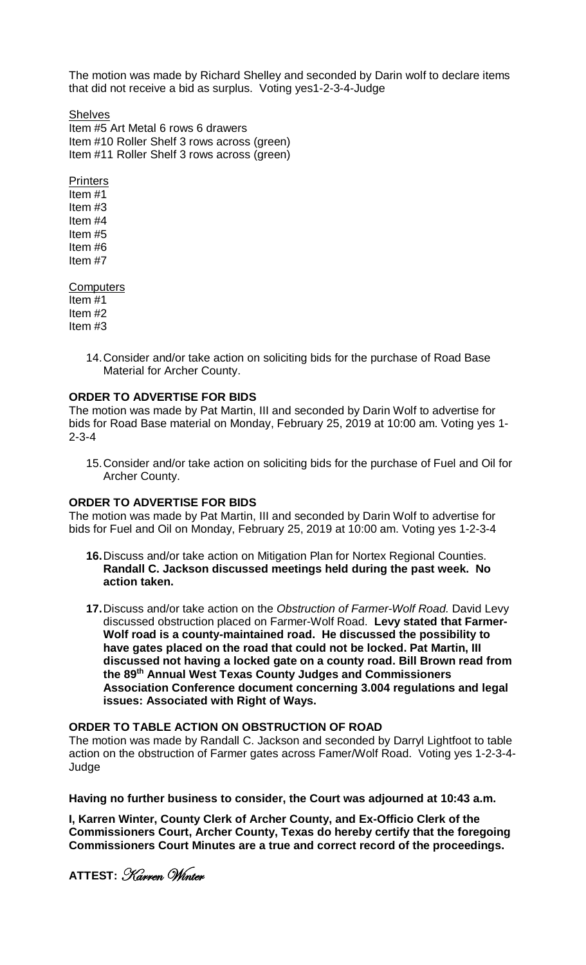The motion was made by Richard Shelley and seconded by Darin wolf to declare items that did not receive a bid as surplus. Voting yes1-2-3-4-Judge

**Shelves** Item #5 Art Metal 6 rows 6 drawers Item #10 Roller Shelf 3 rows across (green) Item #11 Roller Shelf 3 rows across (green)

**Printers** Item #1 Item #3 Item #4 Item #5 Item #6 Item #7

**Computers** Item #1 Item #2 Item #3

> 14.Consider and/or take action on soliciting bids for the purchase of Road Base Material for Archer County.

### **ORDER TO ADVERTISE FOR BIDS**

The motion was made by Pat Martin, III and seconded by Darin Wolf to advertise for bids for Road Base material on Monday, February 25, 2019 at 10:00 am. Voting yes 1- 2-3-4

15.Consider and/or take action on soliciting bids for the purchase of Fuel and Oil for Archer County.

#### **ORDER TO ADVERTISE FOR BIDS**

The motion was made by Pat Martin, III and seconded by Darin Wolf to advertise for bids for Fuel and Oil on Monday, February 25, 2019 at 10:00 am. Voting yes 1-2-3-4

- **16.**Discuss and/or take action on Mitigation Plan for Nortex Regional Counties. **Randall C. Jackson discussed meetings held during the past week. No action taken.**
- **17.**Discuss and/or take action on the *Obstruction of Farmer-Wolf Road.* David Levy discussed obstruction placed on Farmer-Wolf Road. **Levy stated that Farmer-Wolf road is a county-maintained road. He discussed the possibility to have gates placed on the road that could not be locked. Pat Martin, III discussed not having a locked gate on a county road. Bill Brown read from the 89th Annual West Texas County Judges and Commissioners Association Conference document concerning 3.004 regulations and legal issues: Associated with Right of Ways.**

#### **ORDER TO TABLE ACTION ON OBSTRUCTION OF ROAD**

The motion was made by Randall C. Jackson and seconded by Darryl Lightfoot to table action on the obstruction of Farmer gates across Famer/Wolf Road. Voting yes 1-2-3-4- Judge

**Having no further business to consider, the Court was adjourned at 10:43 a.m.**

**I, Karren Winter, County Clerk of Archer County, and Ex-Officio Clerk of the Commissioners Court, Archer County, Texas do hereby certify that the foregoing Commissioners Court Minutes are a true and correct record of the proceedings.**

**ATTEST:** Karren Winter